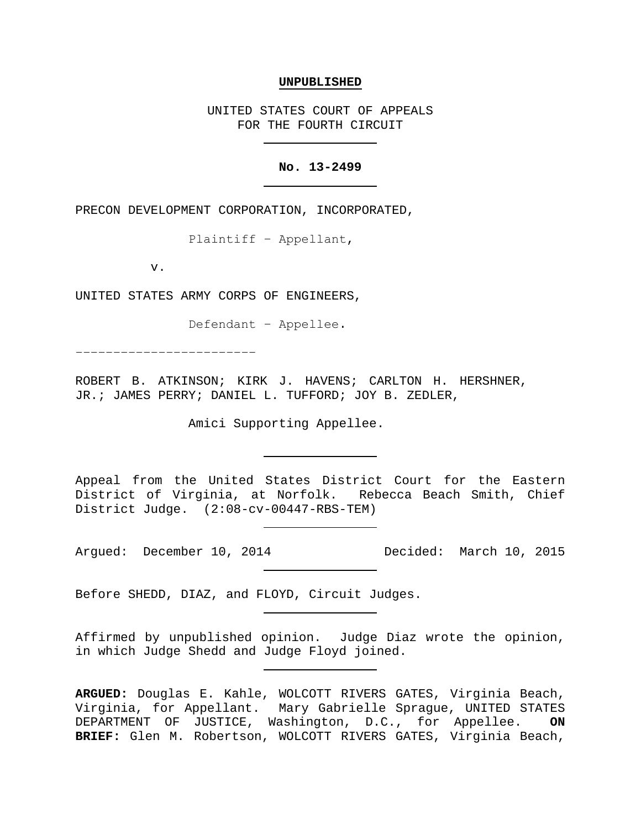#### **UNPUBLISHED**

UNITED STATES COURT OF APPEALS FOR THE FOURTH CIRCUIT

### **No. 13-2499**

PRECON DEVELOPMENT CORPORATION, INCORPORATED,

Plaintiff − Appellant,

v.

UNITED STATES ARMY CORPS OF ENGINEERS,

Defendant − Appellee.

−−−−−−−−−−−−−−−−−−−−−−−−

ROBERT B. ATKINSON; KIRK J. HAVENS; CARLTON H. HERSHNER, JR.; JAMES PERRY; DANIEL L. TUFFORD; JOY B. ZEDLER,

Amici Supporting Appellee.

Appeal from the United States District Court for the Eastern District of Virginia, at Norfolk. Rebecca Beach Smith, Chief District Judge. (2:08-cv-00447-RBS-TEM)

Argued: December 10, 2014 Decided: March 10, 2015

Before SHEDD, DIAZ, and FLOYD, Circuit Judges.

Affirmed by unpublished opinion. Judge Diaz wrote the opinion, in which Judge Shedd and Judge Floyd joined.

**ARGUED:** Douglas E. Kahle, WOLCOTT RIVERS GATES, Virginia Beach, Virginia, for Appellant. Mary Gabrielle Sprague, UNITED STATES DEPARTMENT OF JUSTICE, Washington, D.C., for Appellee. **ON BRIEF:** Glen M. Robertson, WOLCOTT RIVERS GATES, Virginia Beach,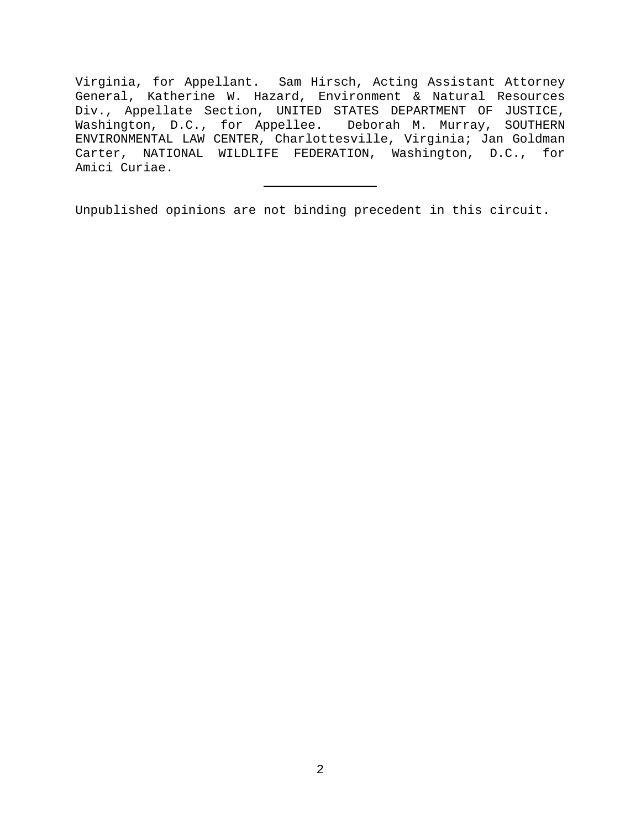Virginia, for Appellant. Sam Hirsch, Acting Assistant Attorney General, Katherine W. Hazard, Environment & Natural Resources Div., Appellate Section, UNITED STATES DEPARTMENT OF JUSTICE, Washington, D.C., for Appellee. Deborah M. Murray, SOUTHERN ENVIRONMENTAL LAW CENTER, Charlottesville, Virginia; Jan Goldman Carter, NATIONAL WILDLIFE FEDERATION, Washington, D.C., for Amici Curiae.

Unpublished opinions are not binding precedent in this circuit.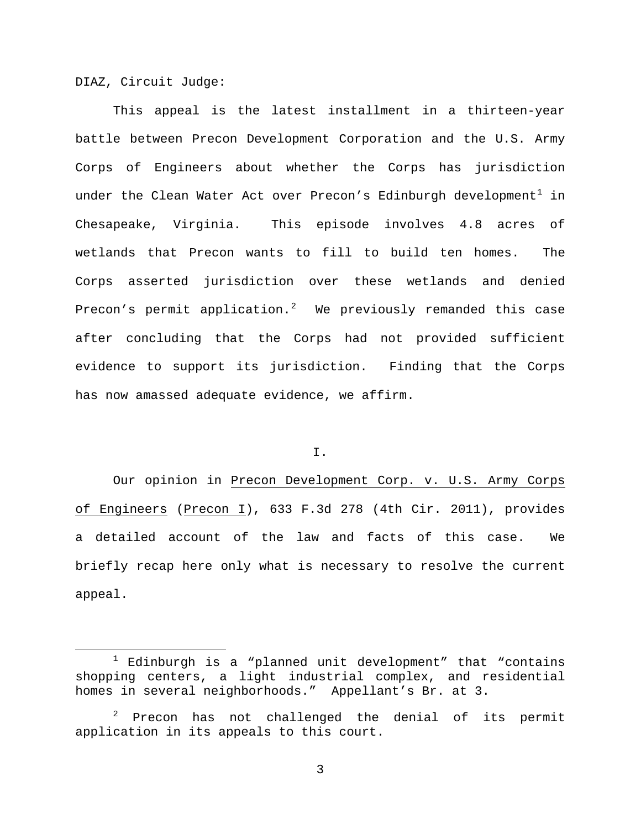DIAZ, Circuit Judge:

This appeal is the latest installment in a thirteen-year battle between Precon Development Corporation and the U.S. Army Corps of Engineers about whether the Corps has jurisdiction under the Clean Water Act over Precon's Edinburgh development<sup>[1](#page-2-0)</sup> in Chesapeake, Virginia. This episode involves 4.8 acres of wetlands that Precon wants to fill to build ten homes. The Corps asserted jurisdiction over these wetlands and denied Precon's permit application.<sup>[2](#page-2-1)</sup> We previously remanded this case after concluding that the Corps had not provided sufficient evidence to support its jurisdiction. Finding that the Corps has now amassed adequate evidence, we affirm.

I.

Our opinion in Precon Development Corp. v. U.S. Army Corps of Engineers (Precon I), 633 F.3d 278 (4th Cir. 2011), provides a detailed account of the law and facts of this case. We briefly recap here only what is necessary to resolve the current appeal.

<span id="page-2-0"></span> $1$  Edinburgh is a "planned unit development" that "contains shopping centers, a light industrial complex, and residential homes in several neighborhoods." Appellant's Br. at 3.

<span id="page-2-1"></span>Precon has not challenged the denial of its permit application in its appeals to this court.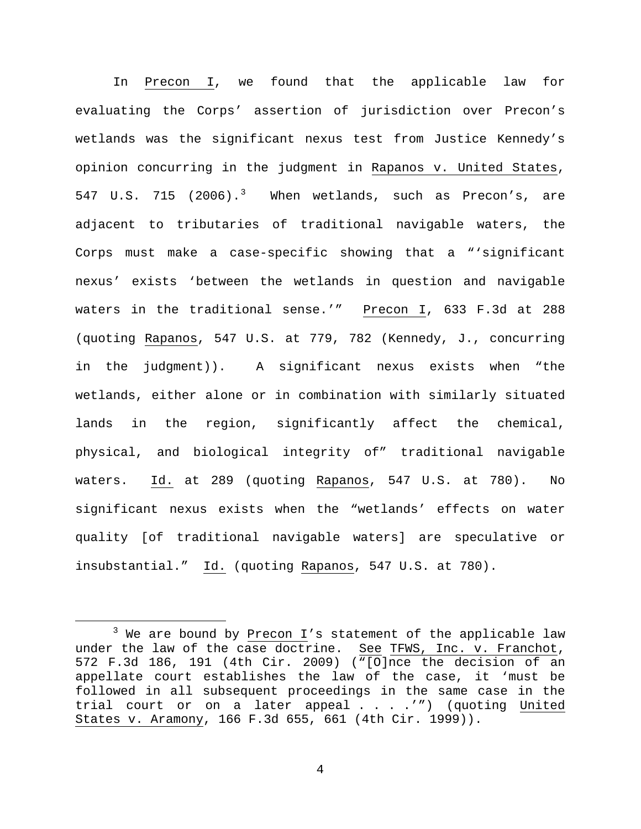In Precon I, we found that the applicable law for evaluating the Corps' assertion of jurisdiction over Precon's wetlands was the significant nexus test from Justice Kennedy's opinion concurring in the judgment in Rapanos v. United States, 547 U.S. 715 (2006).<sup>[3](#page-3-0)</sup> When wetlands, such as Precon's, are adjacent to tributaries of traditional navigable waters, the Corps must make a case-specific showing that a "'significant nexus' exists 'between the wetlands in question and navigable waters in the traditional sense.'" Precon I, 633 F.3d at 288 (quoting Rapanos, 547 U.S. at 779, 782 (Kennedy, J., concurring in the judgment)). A significant nexus exists when "the wetlands, either alone or in combination with similarly situated lands in the region, significantly affect the chemical, physical, and biological integrity of" traditional navigable waters. Id. at 289 (quoting Rapanos, 547 U.S. at 780). No significant nexus exists when the "wetlands' effects on water quality [of traditional navigable waters] are speculative or insubstantial." Id. (quoting Rapanos, 547 U.S. at 780).

<span id="page-3-0"></span> $3$  We are bound by Precon I's statement of the applicable law under the law of the case doctrine. See TFWS, Inc. v. Franchot, 572 F.3d 186, 191 (4th Cir. 2009) ("[O]nce the decision of an appellate court establishes the law of the case, it 'must be followed in all subsequent proceedings in the same case in the trial court or on a later appeal . . . .'") (quoting United States v. Aramony, 166 F.3d 655, 661 (4th Cir. 1999)).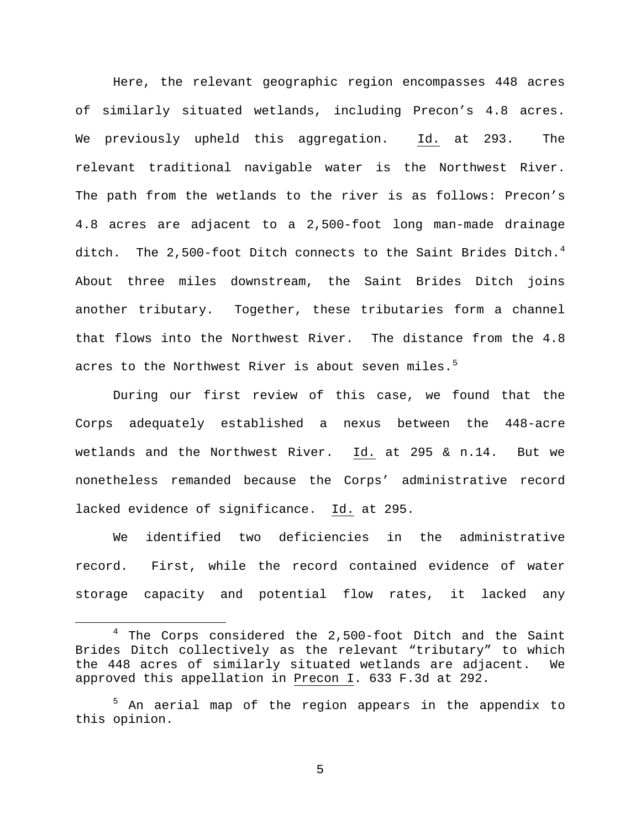Here, the relevant geographic region encompasses 448 acres of similarly situated wetlands, including Precon's 4.8 acres. We previously upheld this aggregation. Id. at 293. The relevant traditional navigable water is the Northwest River. The path from the wetlands to the river is as follows: Precon's 4.8 acres are adjacent to a 2,500-foot long man-made drainage ditch. The 2,500-foot Ditch connects to the Saint Brides Ditch.<sup>[4](#page-4-0)</sup> About three miles downstream, the Saint Brides Ditch joins another tributary. Together, these tributaries form a channel that flows into the Northwest River. The distance from the 4.8 acres to the Northwest River is about seven miles.<sup>[5](#page-4-1)</sup>

During our first review of this case, we found that the Corps adequately established a nexus between the 448-acre wetlands and the Northwest River. Id. at 295 & n.14. But we nonetheless remanded because the Corps' administrative record lacked evidence of significance. Id. at 295.

We identified two deficiencies in the administrative record. First, while the record contained evidence of water storage capacity and potential flow rates, it lacked any

<span id="page-4-0"></span><sup>&</sup>lt;sup>4</sup> The Corps considered the 2,500-foot Ditch and the Saint Brides Ditch collectively as the relevant "tributary" to which the 448 acres of similarly situated wetlands are adjacent. We approved this appellation in Precon I. 633 F.3d at 292.

<span id="page-4-1"></span><sup>&</sup>lt;sup>5</sup> An aerial map of the region appears in the appendix to this opinion.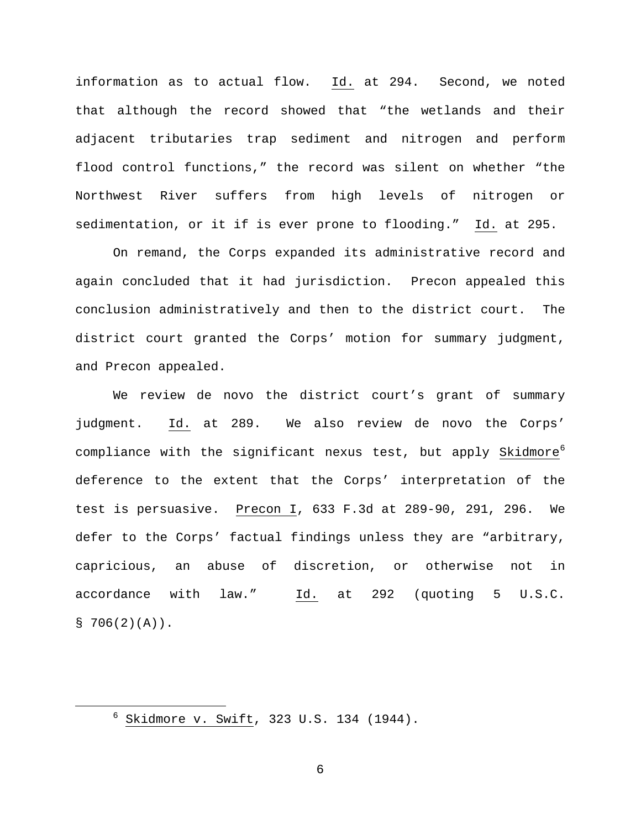information as to actual flow. Id. at 294. Second, we noted that although the record showed that "the wetlands and their adjacent tributaries trap sediment and nitrogen and perform flood control functions," the record was silent on whether "the Northwest River suffers from high levels of nitrogen or sedimentation, or it if is ever prone to flooding." Id. at 295.

On remand, the Corps expanded its administrative record and again concluded that it had jurisdiction. Precon appealed this conclusion administratively and then to the district court. The district court granted the Corps' motion for summary judgment, and Precon appealed.

We review de novo the district court's grant of summary judgment. Id. at 289. We also review de novo the Corps' compliance with the significant nexus test, but apply Skidmore<sup>[6](#page-5-0)</sup> deference to the extent that the Corps' interpretation of the test is persuasive. Precon I, 633 F.3d at 289-90, 291, 296. We defer to the Corps' factual findings unless they are "arbitrary, capricious, an abuse of discretion, or otherwise not in accordance with law." Id. at 292 (quoting 5 U.S.C.  $$706(2)(A))$ .

<span id="page-5-0"></span> $6$  Skidmore v. Swift, 323 U.S. 134 (1944).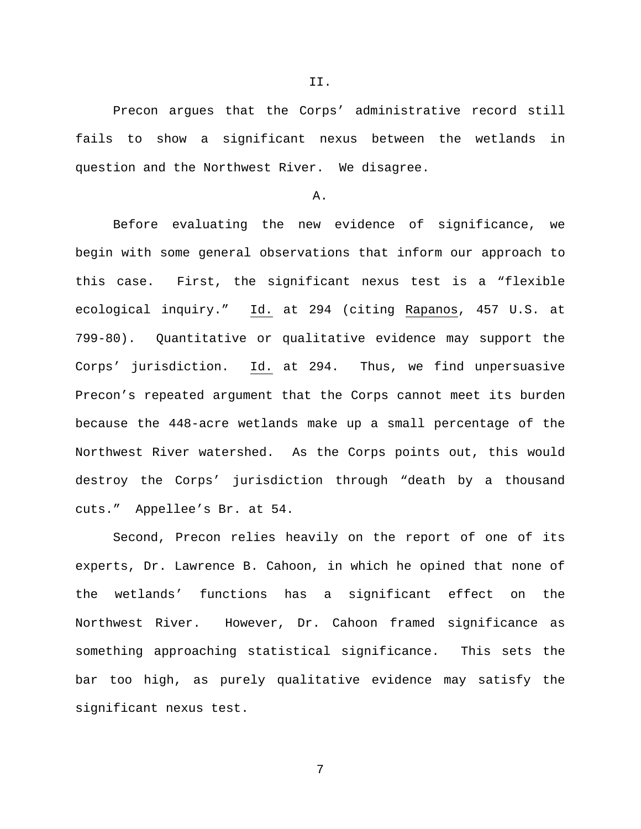Precon argues that the Corps' administrative record still fails to show a significant nexus between the wetlands in question and the Northwest River. We disagree.

#### A.

Before evaluating the new evidence of significance, we begin with some general observations that inform our approach to this case. First, the significant nexus test is a "flexible ecological inquiry." Id. at 294 (citing Rapanos, 457 U.S. at 799-80). Quantitative or qualitative evidence may support the Corps' jurisdiction. Id. at 294. Thus, we find unpersuasive Precon's repeated argument that the Corps cannot meet its burden because the 448-acre wetlands make up a small percentage of the Northwest River watershed. As the Corps points out, this would destroy the Corps' jurisdiction through "death by a thousand cuts." Appellee's Br. at 54.

Second, Precon relies heavily on the report of one of its experts, Dr. Lawrence B. Cahoon, in which he opined that none of the wetlands' functions has a significant effect on the Northwest River. However, Dr. Cahoon framed significance as something approaching statistical significance. This sets the bar too high, as purely qualitative evidence may satisfy the significant nexus test.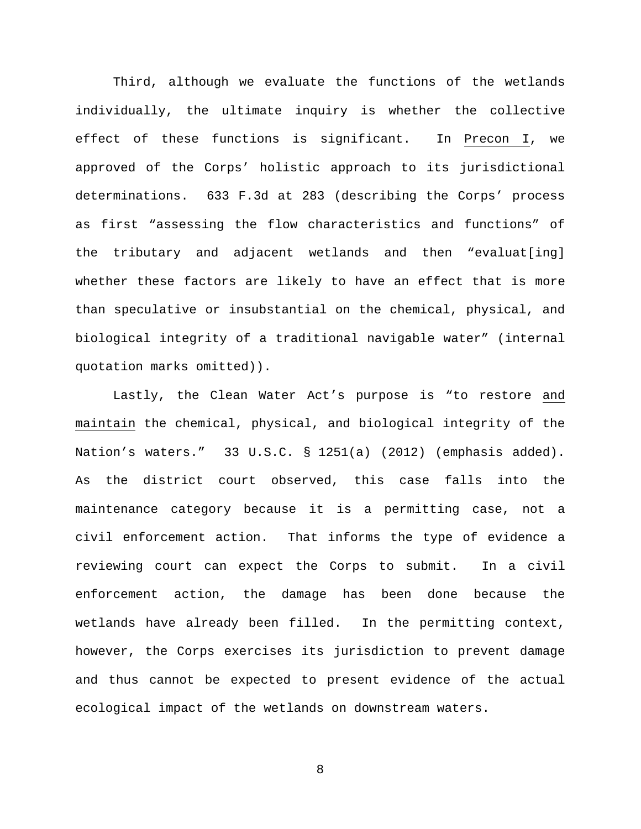Third, although we evaluate the functions of the wetlands individually, the ultimate inquiry is whether the collective effect of these functions is significant. In Precon I, we approved of the Corps' holistic approach to its jurisdictional determinations. 633 F.3d at 283 (describing the Corps' process as first "assessing the flow characteristics and functions" of the tributary and adjacent wetlands and then "evaluat[ing] whether these factors are likely to have an effect that is more than speculative or insubstantial on the chemical, physical, and biological integrity of a traditional navigable water" (internal quotation marks omitted)).

Lastly, the Clean Water Act's purpose is "to restore and maintain the chemical, physical, and biological integrity of the Nation's waters." 33 U.S.C. § 1251(a) (2012) (emphasis added). As the district court observed, this case falls into the maintenance category because it is a permitting case, not a civil enforcement action. That informs the type of evidence a reviewing court can expect the Corps to submit. In a civil enforcement action, the damage has been done because the wetlands have already been filled. In the permitting context, however, the Corps exercises its jurisdiction to prevent damage and thus cannot be expected to present evidence of the actual ecological impact of the wetlands on downstream waters.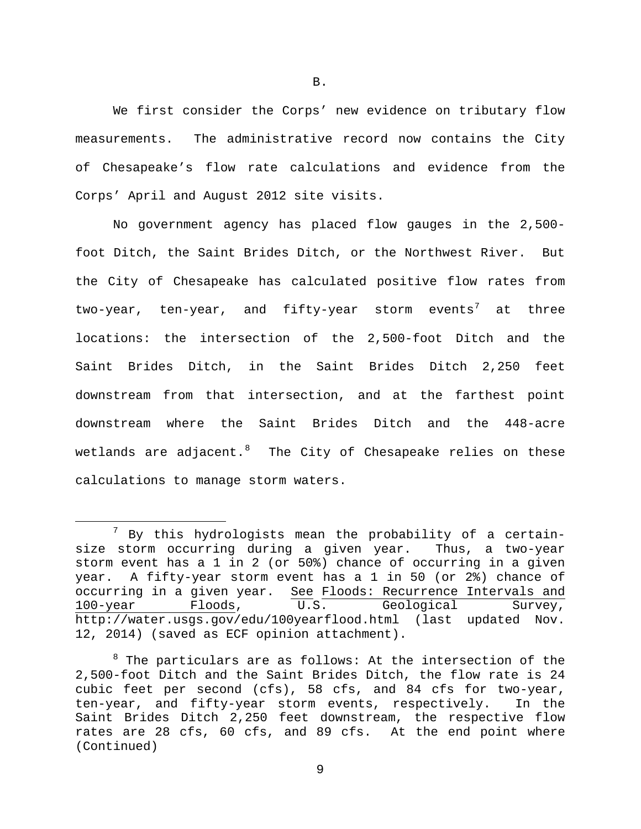We first consider the Corps' new evidence on tributary flow measurements. The administrative record now contains the City of Chesapeake's flow rate calculations and evidence from the Corps' April and August 2012 site visits.

No government agency has placed flow gauges in the 2,500 foot Ditch, the Saint Brides Ditch, or the Northwest River. But the City of Chesapeake has calculated positive flow rates from two-year, ten-year, and fifty-year storm events<sup>[7](#page-8-0)</sup> at three locations: the intersection of the 2,500-foot Ditch and the Saint Brides Ditch, in the Saint Brides Ditch 2,250 feet downstream from that intersection, and at the farthest point downstream where the Saint Brides Ditch and the 448-acre wetlands are adjacent. $^8$  $^8$  The City of Chesapeake relies on these calculations to manage storm waters.

<span id="page-8-0"></span> $7$  By this hydrologists mean the probability of a certainsize storm occurring during a given year. Thus, a two-year storm event has a 1 in 2 (or 50%) chance of occurring in a given year. A fifty-year storm event has a 1 in 50 (or 2%) chance of occurring in a given year. See Floods: Recurrence Intervals and<br>100-year Floods, U.S. Geological Survey, U.S. Geological Survey, http://water.usgs.gov/edu/100yearflood.html (last updated Nov. 12, 2014) (saved as ECF opinion attachment).

<span id="page-8-1"></span> $8$  The particulars are as follows: At the intersection of the 2,500-foot Ditch and the Saint Brides Ditch, the flow rate is 24 cubic feet per second (cfs), 58 cfs, and 84 cfs for two-year, ten-year, and fifty-year storm events, respectively. In the Saint Brides Ditch 2,250 feet downstream, the respective flow rates are 28 cfs, 60 cfs, and 89 cfs. At the end point where (Continued)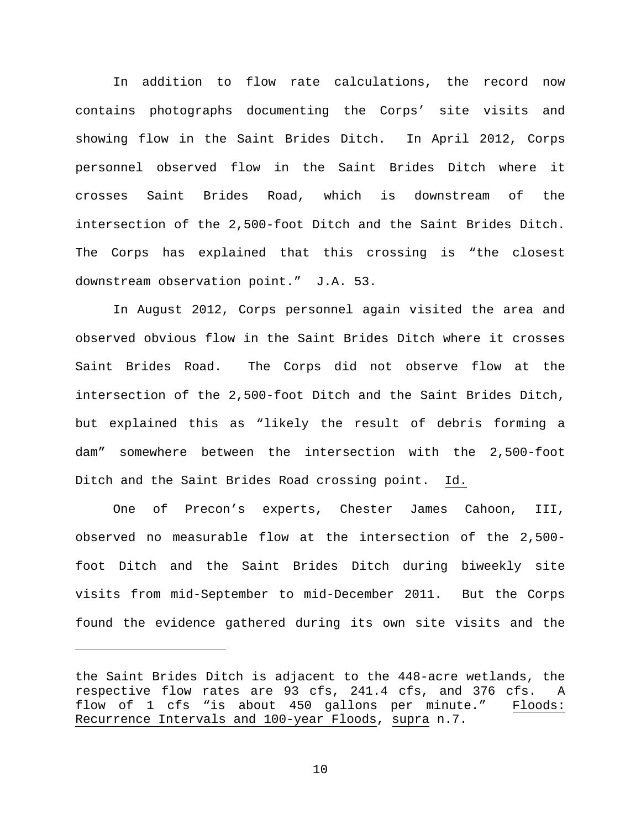In addition to flow rate calculations, the record now contains photographs documenting the Corps' site visits and showing flow in the Saint Brides Ditch. In April 2012, Corps personnel observed flow in the Saint Brides Ditch where it crosses Saint Brides Road, which is downstream of the intersection of the 2,500-foot Ditch and the Saint Brides Ditch. The Corps has explained that this crossing is "the closest downstream observation point." J.A. 53.

In August 2012, Corps personnel again visited the area and observed obvious flow in the Saint Brides Ditch where it crosses Saint Brides Road. The Corps did not observe flow at the intersection of the 2,500-foot Ditch and the Saint Brides Ditch, but explained this as "likely the result of debris forming a dam" somewhere between the intersection with the 2,500-foot Ditch and the Saint Brides Road crossing point. Id.

One of Precon's experts, Chester James Cahoon, III, observed no measurable flow at the intersection of the 2,500 foot Ditch and the Saint Brides Ditch during biweekly site visits from mid-September to mid-December 2011. But the Corps found the evidence gathered during its own site visits and the

Ĩ.

the Saint Brides Ditch is adjacent to the 448-acre wetlands, the respective flow rates are 93 cfs, 241.4 cfs, and 376 cfs. A flow of 1 cfs "is about 450 gallons per minute." Floods: Recurrence Intervals and 100-year Floods, supra n.7.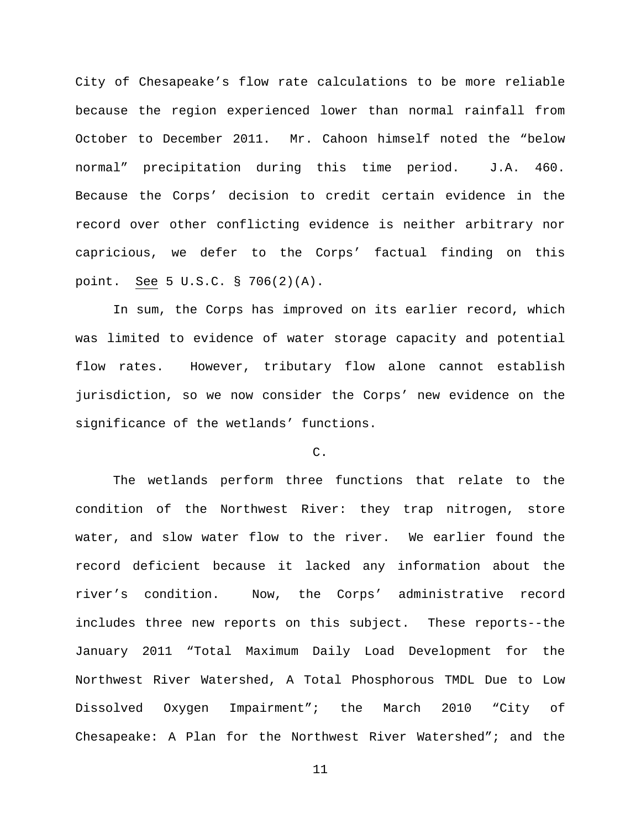City of Chesapeake's flow rate calculations to be more reliable because the region experienced lower than normal rainfall from October to December 2011. Mr. Cahoon himself noted the "below normal" precipitation during this time period. J.A. 460. Because the Corps' decision to credit certain evidence in the record over other conflicting evidence is neither arbitrary nor capricious, we defer to the Corps' factual finding on this point. See 5 U.S.C. § 706(2)(A).

In sum, the Corps has improved on its earlier record, which was limited to evidence of water storage capacity and potential flow rates. However, tributary flow alone cannot establish jurisdiction, so we now consider the Corps' new evidence on the significance of the wetlands' functions.

### C.

The wetlands perform three functions that relate to the condition of the Northwest River: they trap nitrogen, store water, and slow water flow to the river. We earlier found the record deficient because it lacked any information about the river's condition. Now, the Corps' administrative record includes three new reports on this subject. These reports--the January 2011 "Total Maximum Daily Load Development for the Northwest River Watershed, A Total Phosphorous TMDL Due to Low Dissolved Oxygen Impairment"; the March 2010 "City of Chesapeake: A Plan for the Northwest River Watershed"; and the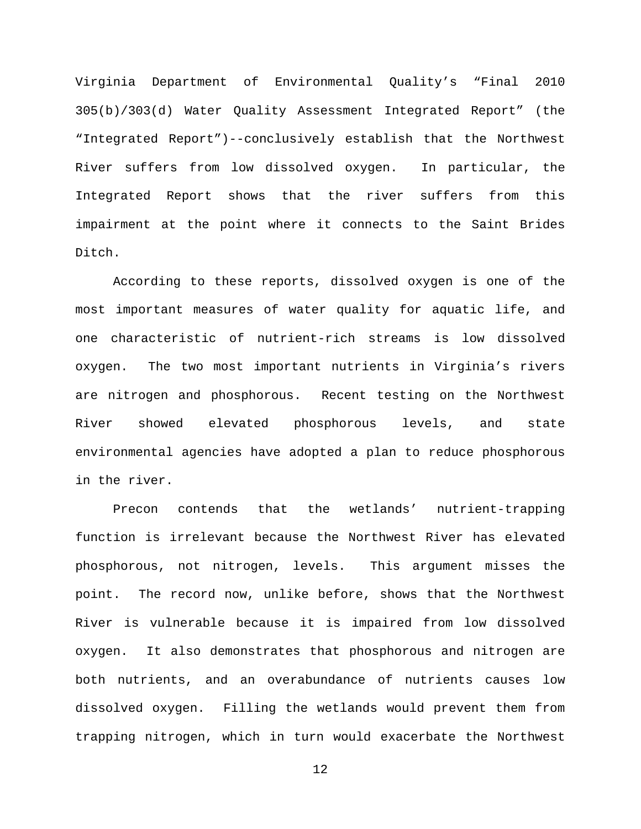Virginia Department of Environmental Quality's "Final 2010 305(b)/303(d) Water Quality Assessment Integrated Report" (the "Integrated Report")--conclusively establish that the Northwest River suffers from low dissolved oxygen. In particular, the Integrated Report shows that the river suffers from this impairment at the point where it connects to the Saint Brides Ditch.

According to these reports, dissolved oxygen is one of the most important measures of water quality for aquatic life, and one characteristic of nutrient-rich streams is low dissolved oxygen. The two most important nutrients in Virginia's rivers are nitrogen and phosphorous. Recent testing on the Northwest River showed elevated phosphorous levels, and state environmental agencies have adopted a plan to reduce phosphorous in the river.

Precon contends that the wetlands' nutrient-trapping function is irrelevant because the Northwest River has elevated phosphorous, not nitrogen, levels. This argument misses the point. The record now, unlike before, shows that the Northwest River is vulnerable because it is impaired from low dissolved oxygen. It also demonstrates that phosphorous and nitrogen are both nutrients, and an overabundance of nutrients causes low dissolved oxygen. Filling the wetlands would prevent them from trapping nitrogen, which in turn would exacerbate the Northwest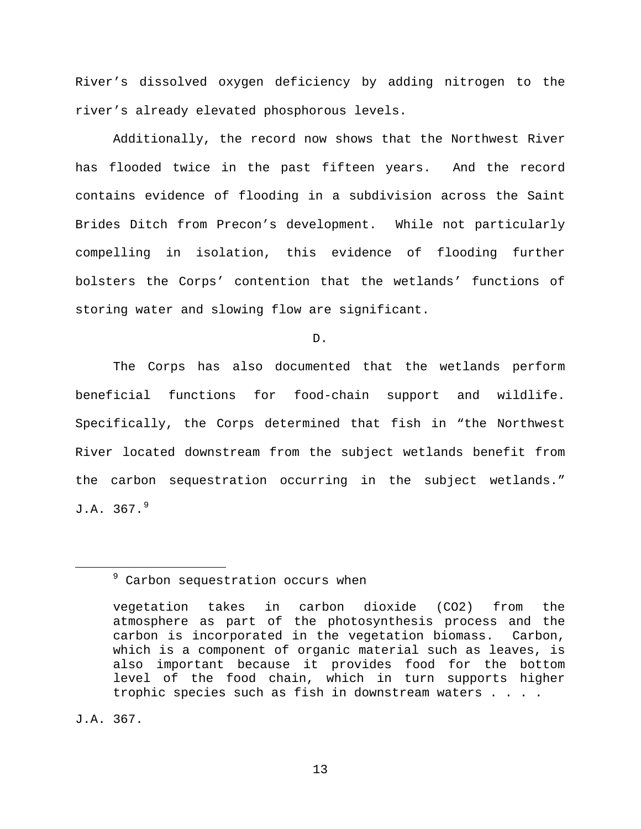River's dissolved oxygen deficiency by adding nitrogen to the river's already elevated phosphorous levels.

Additionally, the record now shows that the Northwest River has flooded twice in the past fifteen years. And the record contains evidence of flooding in a subdivision across the Saint Brides Ditch from Precon's development. While not particularly compelling in isolation, this evidence of flooding further bolsters the Corps' contention that the wetlands' functions of storing water and slowing flow are significant.

D.

The Corps has also documented that the wetlands perform beneficial functions for food-chain support and wildlife. Specifically, the Corps determined that fish in "the Northwest River located downstream from the subject wetlands benefit from the carbon sequestration occurring in the subject wetlands."  $J.A. 367.9$  $J.A. 367.9$ 

J.A. 367.

<span id="page-12-0"></span><sup>&</sup>lt;sup>9</sup> Carbon sequestration occurs when

vegetation takes in carbon dioxide (CO2) from the atmosphere as part of the photosynthesis process and the carbon is incorporated in the vegetation biomass. Carbon, which is a component of organic material such as leaves, is also important because it provides food for the bottom level of the food chain, which in turn supports higher trophic species such as fish in downstream waters . . . .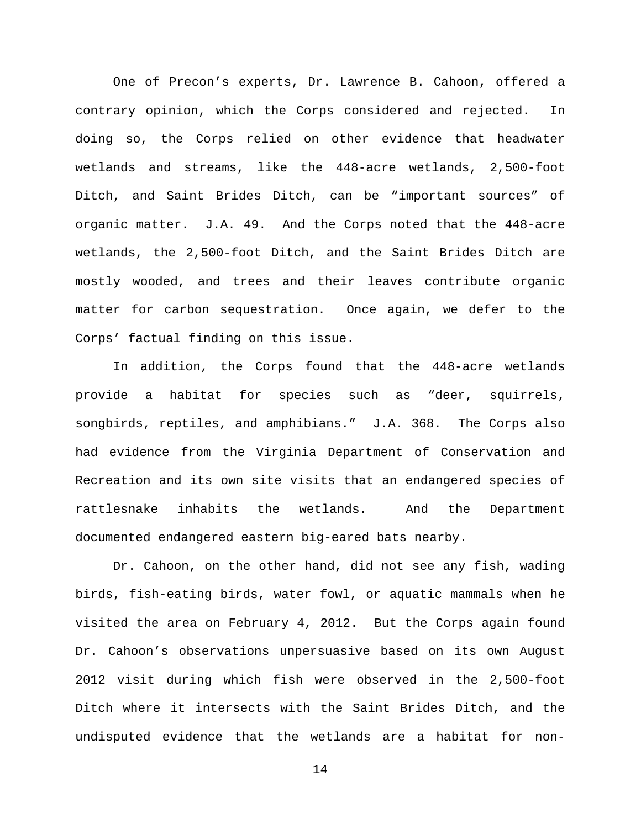One of Precon's experts, Dr. Lawrence B. Cahoon, offered a contrary opinion, which the Corps considered and rejected. In doing so, the Corps relied on other evidence that headwater wetlands and streams, like the 448-acre wetlands, 2,500-foot Ditch, and Saint Brides Ditch, can be "important sources" of organic matter. J.A. 49. And the Corps noted that the 448-acre wetlands, the 2,500-foot Ditch, and the Saint Brides Ditch are mostly wooded, and trees and their leaves contribute organic matter for carbon sequestration. Once again, we defer to the Corps' factual finding on this issue.

In addition, the Corps found that the 448-acre wetlands provide a habitat for species such as "deer, squirrels, songbirds, reptiles, and amphibians." J.A. 368. The Corps also had evidence from the Virginia Department of Conservation and Recreation and its own site visits that an endangered species of rattlesnake inhabits the wetlands. And the Department documented endangered eastern big-eared bats nearby.

Dr. Cahoon, on the other hand, did not see any fish, wading birds, fish-eating birds, water fowl, or aquatic mammals when he visited the area on February 4, 2012. But the Corps again found Dr. Cahoon's observations unpersuasive based on its own August 2012 visit during which fish were observed in the 2,500-foot Ditch where it intersects with the Saint Brides Ditch, and the undisputed evidence that the wetlands are a habitat for non-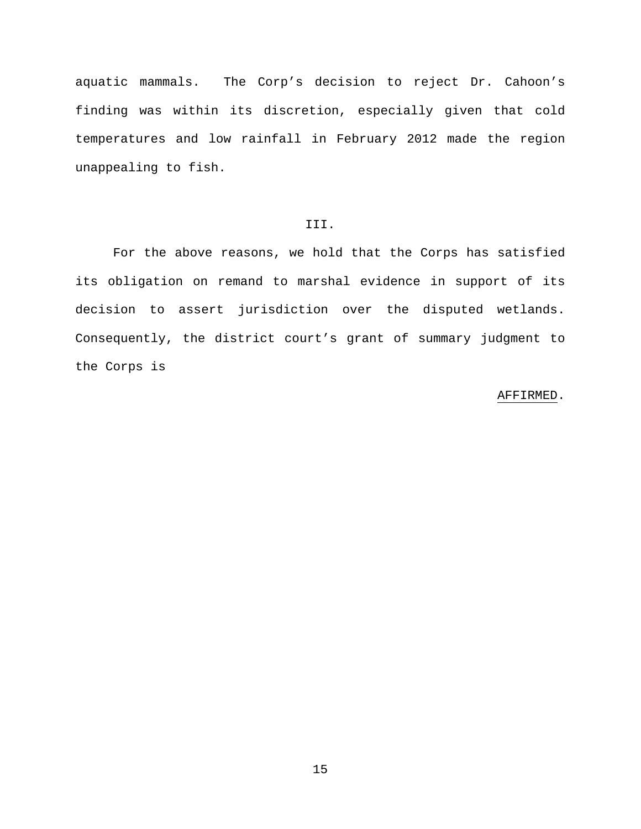aquatic mammals. The Corp's decision to reject Dr. Cahoon's finding was within its discretion, especially given that cold temperatures and low rainfall in February 2012 made the region unappealing to fish.

## III.

For the above reasons, we hold that the Corps has satisfied its obligation on remand to marshal evidence in support of its decision to assert jurisdiction over the disputed wetlands. Consequently, the district court's grant of summary judgment to the Corps is

#### AFFIRMED.